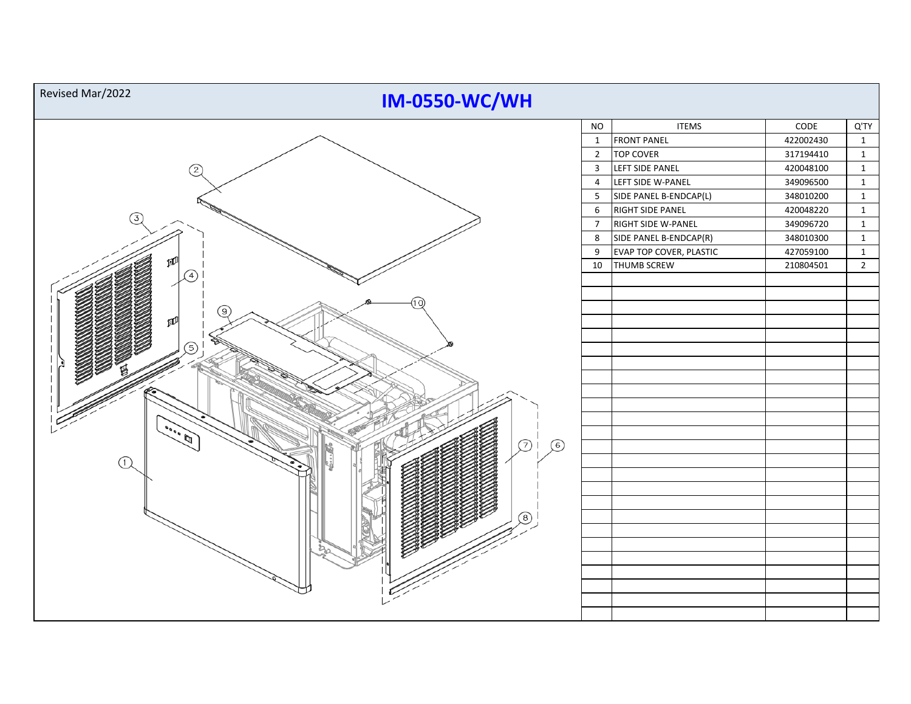| Revised Mar/2022<br><b>IM-0550-WC/WH</b> |                         |                                |           |                |
|------------------------------------------|-------------------------|--------------------------------|-----------|----------------|
|                                          | <b>NO</b>               | <b>ITEMS</b>                   | CODE      | Q'TY           |
|                                          | $\mathbf{1}$            | <b>FRONT PANEL</b>             | 422002430 | $\mathbf{1}$   |
|                                          | $\overline{2}$          | <b>TOP COVER</b>               | 317194410 | $\mathbf{1}$   |
| (2)                                      | $\overline{\mathbf{3}}$ | LEFT SIDE PANEL                | 420048100 | $\mathbf{1}$   |
|                                          | $\overline{4}$          | LEFT SIDE W-PANEL              | 349096500 | $\mathbf{1}$   |
|                                          | $5\phantom{.0}$         | SIDE PANEL B-ENDCAP(L)         | 348010200 | $\mathbf{1}$   |
| 3)                                       | 6                       | RIGHT SIDE PANEL               | 420048220 | $\mathbf{1}$   |
|                                          | $\overline{7}$          | RIGHT SIDE W-PANEL             | 349096720 | $\mathbf{1}$   |
|                                          | 8                       | SIDE PANEL B-ENDCAP(R)         | 348010300 | $\mathbf{1}$   |
|                                          | 9                       | <b>EVAP TOP COVER, PLASTIC</b> | 427059100 | $\mathbf{1}$   |
|                                          | 10                      | THUMB SCREW                    | 210804501 | $\overline{2}$ |
|                                          |                         |                                |           |                |
|                                          |                         |                                |           |                |
|                                          |                         |                                |           |                |
|                                          |                         |                                |           |                |
|                                          |                         |                                |           |                |
| 5                                        |                         |                                |           |                |
|                                          |                         |                                |           |                |
|                                          |                         |                                |           |                |
|                                          |                         |                                |           |                |
|                                          |                         |                                |           |                |
|                                          |                         |                                |           |                |
|                                          |                         |                                |           |                |
| $\odot$ i<br>$\odot$                     |                         |                                |           |                |
| $\textcircled{1}$                        |                         |                                |           |                |
|                                          |                         |                                |           |                |
|                                          |                         |                                |           |                |
|                                          |                         |                                |           |                |
|                                          |                         |                                |           |                |
|                                          |                         |                                |           |                |
|                                          |                         |                                |           |                |
|                                          |                         |                                |           |                |
|                                          |                         |                                |           |                |
|                                          |                         |                                |           |                |
|                                          |                         |                                |           |                |
|                                          |                         |                                |           |                |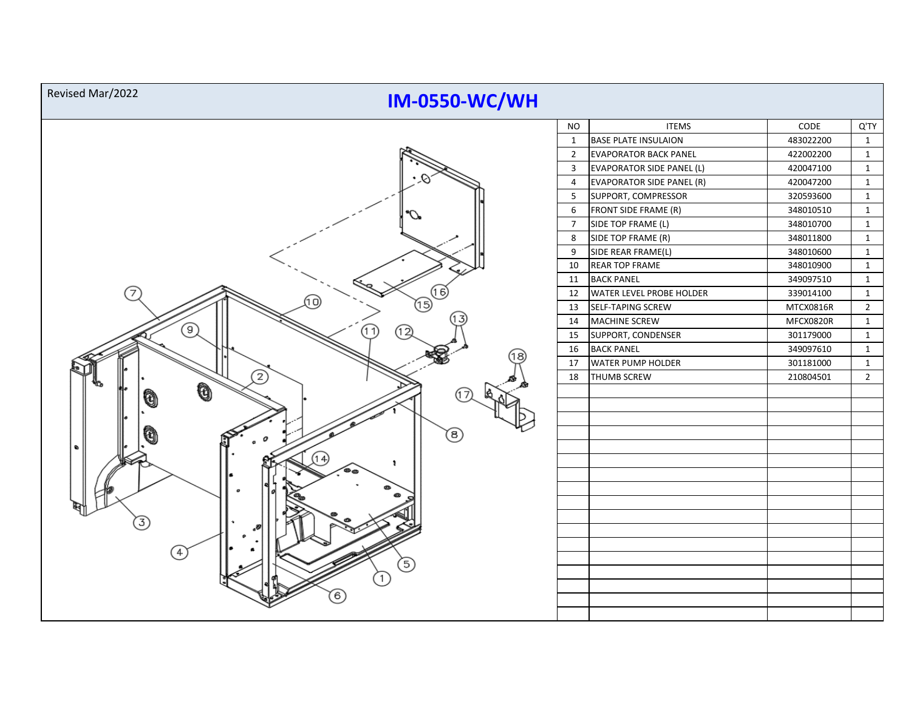| Revised Mar/2022<br><b>IM-0550-WC/WH</b> |                |                                  |           |                |  |  |  |  |
|------------------------------------------|----------------|----------------------------------|-----------|----------------|--|--|--|--|
|                                          | <b>NO</b>      | <b>ITEMS</b>                     | CODE      | Q'TY           |  |  |  |  |
|                                          | $\mathbf{1}$   | <b>BASE PLATE INSULAION</b>      | 483022200 | $\mathbf{1}$   |  |  |  |  |
|                                          | $\overline{2}$ | <b>EVAPORATOR BACK PANEL</b>     | 422002200 | $\mathbf{1}$   |  |  |  |  |
|                                          | $\mathbf{3}$   | <b>EVAPORATOR SIDE PANEL (L)</b> | 420047100 | $\mathbf{1}$   |  |  |  |  |
|                                          | $\overline{4}$ | <b>EVAPORATOR SIDE PANEL (R)</b> | 420047200 | $\mathbf{1}$   |  |  |  |  |
|                                          | 5              | SUPPORT, COMPRESSOR              | 320593600 | $\mathbf{1}$   |  |  |  |  |
|                                          | 6              | FRONT SIDE FRAME (R)             | 348010510 | $\mathbf{1}$   |  |  |  |  |
|                                          | $\overline{7}$ | SIDE TOP FRAME (L)               | 348010700 | $\mathbf{1}$   |  |  |  |  |
|                                          | 8              | SIDE TOP FRAME (R)               | 348011800 | $\mathbf{1}$   |  |  |  |  |
|                                          | 9              | SIDE REAR FRAME(L)               | 348010600 | $\mathbf{1}$   |  |  |  |  |
|                                          | 10             | <b>REAR TOP FRAME</b>            | 348010900 | $\mathbf{1}$   |  |  |  |  |
|                                          | 11             | <b>BACK PANEL</b>                | 349097510 | $\mathbf{1}$   |  |  |  |  |
| 7<br>(16                                 | 12             | <b>WATER LEVEL PROBE HOLDER</b>  | 339014100 | $\mathbf{1}$   |  |  |  |  |
| (10)<br>15)                              | 13             | SELF-TAPING SCREW                | MTCX0816R | $\overline{2}$ |  |  |  |  |
| ⊚                                        | 14             | <b>MACHINE SCREW</b>             | MFCX0820R | $\mathbf{1}$   |  |  |  |  |
| (11)<br>(12)                             | 15             | SUPPORT, CONDENSER               | 301179000 | $\mathbf{1}$   |  |  |  |  |
|                                          | 16             | <b>BACK PANEL</b>                | 349097610 | $\mathbf{1}$   |  |  |  |  |
|                                          | 17             | <b>WATER PUMP HOLDER</b>         | 301181000 | $\mathbf{1}$   |  |  |  |  |
| 2                                        | 18             | <b>THUMB SCREW</b>               | 210804501 | $\overline{2}$ |  |  |  |  |
| Ò<br>Ø                                   |                |                                  |           |                |  |  |  |  |
|                                          |                |                                  |           |                |  |  |  |  |
|                                          |                |                                  |           |                |  |  |  |  |
| (8)                                      |                |                                  |           |                |  |  |  |  |
| ۰                                        |                |                                  |           |                |  |  |  |  |
| 14<br>٠                                  |                |                                  |           |                |  |  |  |  |
|                                          |                |                                  |           |                |  |  |  |  |
|                                          |                |                                  |           |                |  |  |  |  |
|                                          |                |                                  |           |                |  |  |  |  |
| 3                                        |                |                                  |           |                |  |  |  |  |
|                                          |                |                                  |           |                |  |  |  |  |
| $\frac{4}{1}$                            |                |                                  |           |                |  |  |  |  |
| 5                                        |                |                                  |           |                |  |  |  |  |
|                                          |                |                                  |           |                |  |  |  |  |
|                                          |                |                                  |           |                |  |  |  |  |
| 6                                        |                |                                  |           |                |  |  |  |  |
|                                          |                |                                  |           |                |  |  |  |  |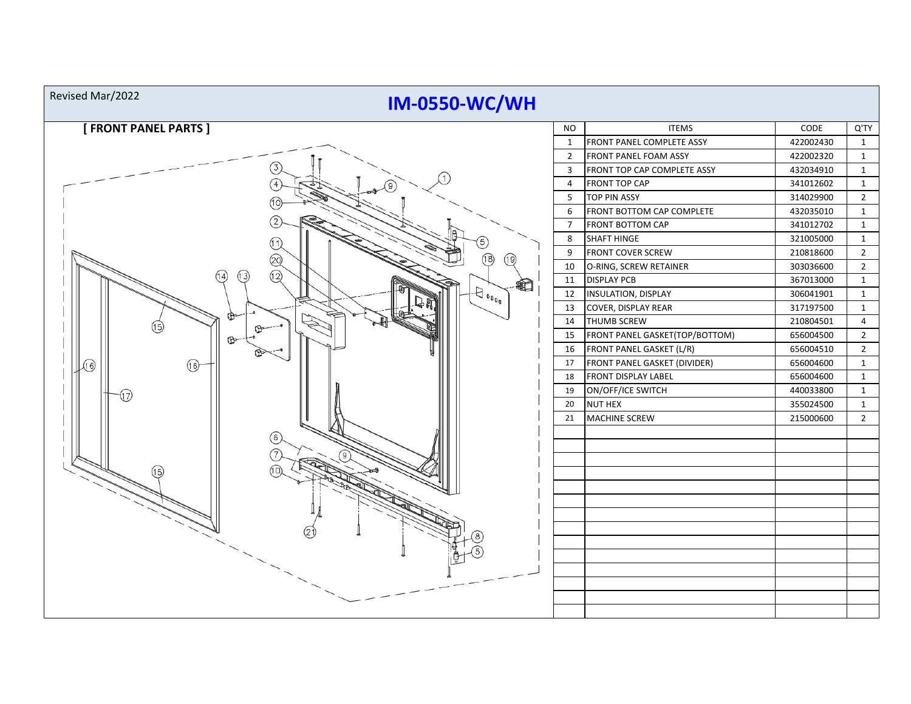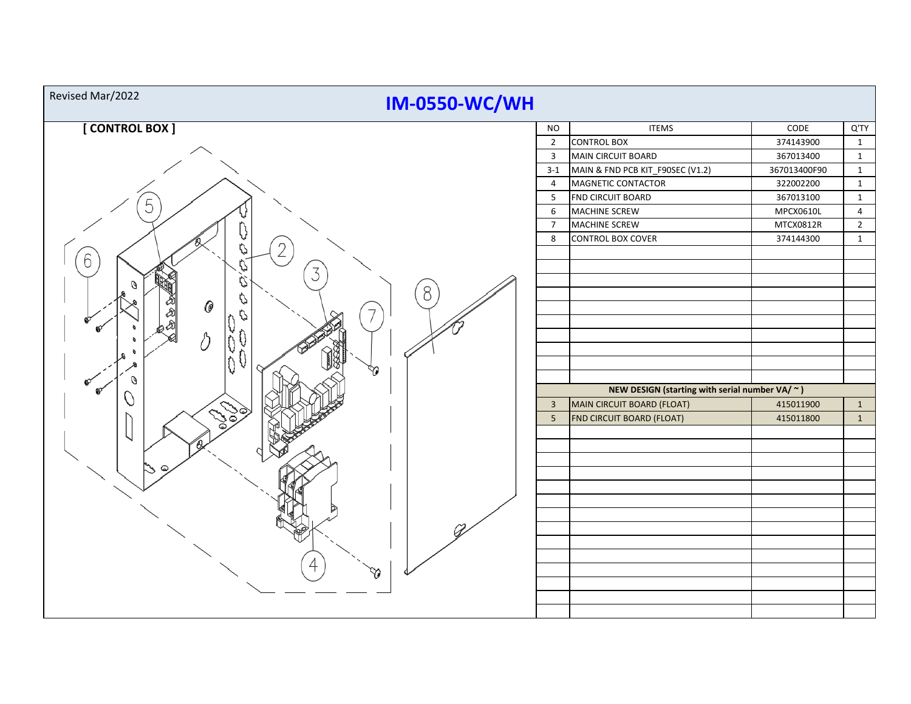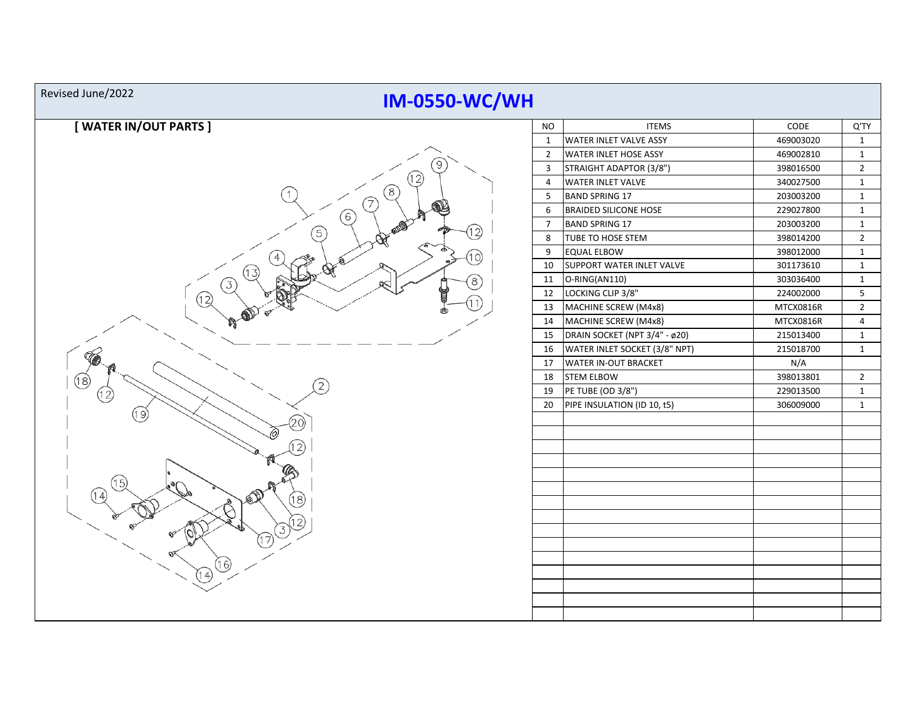## **IM-0550-WC/WH** Revised June/2022





|  | NO             | <b>ITEMS</b>                  | CODE      | Q'TY           |
|--|----------------|-------------------------------|-----------|----------------|
|  | 1              | WATER INLET VALVE ASSY        | 469003020 | 1              |
|  | $\overline{2}$ | WATER INLET HOSE ASSY         | 469002810 | $\mathbf{1}$   |
|  | 3              | STRAIGHT ADAPTOR (3/8")       | 398016500 | 2              |
|  | 4              | <b>WATER INLET VALVE</b>      | 340027500 | 1              |
|  | 5              | <b>BAND SPRING 17</b>         | 203003200 | 1              |
|  | 6              | <b>BRAIDED SILICONE HOSE</b>  | 229027800 | 1              |
|  | 7              | <b>BAND SPRING 17</b>         | 203003200 | 1              |
|  | 8              | TUBE TO HOSE STEM             | 398014200 | 2              |
|  | 9              | EQUAL ELBOW                   | 398012000 | 1              |
|  | 10             | SUPPORT WATER INLET VALVE     | 301173610 | 1              |
|  | 11             | O-RING(AN110)                 | 303036400 | 1              |
|  | 12             | LOCKING CLIP 3/8"             | 224002000 | 5              |
|  | 13             | MACHINE SCREW (M4x8)          | MTCX0816R | $\overline{2}$ |
|  | 14             | MACHINE SCREW (M4x8)          | MTCX0816R | 4              |
|  | 15             | DRAIN SOCKET (NPT 3/4" - ø20) | 215013400 | $\mathbf{1}$   |
|  | 16             | WATER INLET SOCKET (3/8" NPT) | 215018700 | $\mathbf{1}$   |
|  | 17             | <b>WATER IN-OUT BRACKET</b>   | N/A       |                |
|  | 18             | <b>STEM ELBOW</b>             | 398013801 | 2              |
|  | 19             | PE TUBE (OD 3/8")             | 229013500 | 1              |
|  | 20             | PIPE INSULATION (ID 10, t5)   | 306009000 | $\mathbf{1}$   |
|  |                |                               |           |                |
|  |                |                               |           |                |
|  |                |                               |           |                |
|  |                |                               |           |                |
|  |                |                               |           |                |
|  |                |                               |           |                |
|  |                |                               |           |                |
|  |                |                               |           |                |
|  |                |                               |           |                |
|  |                |                               |           |                |
|  |                |                               |           |                |
|  |                |                               |           |                |
|  |                |                               |           |                |
|  |                |                               |           |                |
|  |                |                               |           |                |
|  |                |                               |           |                |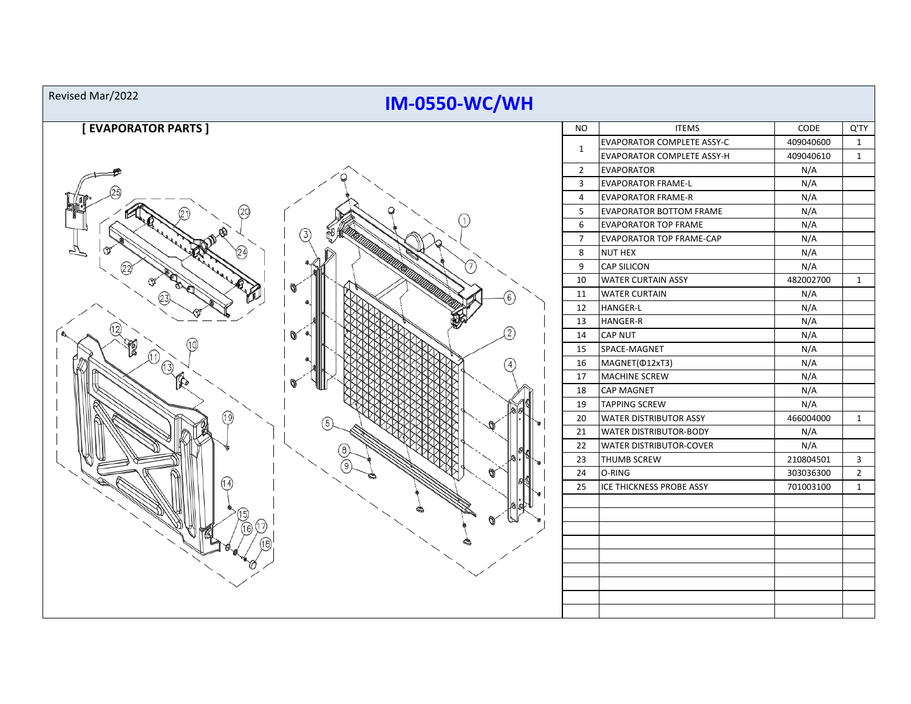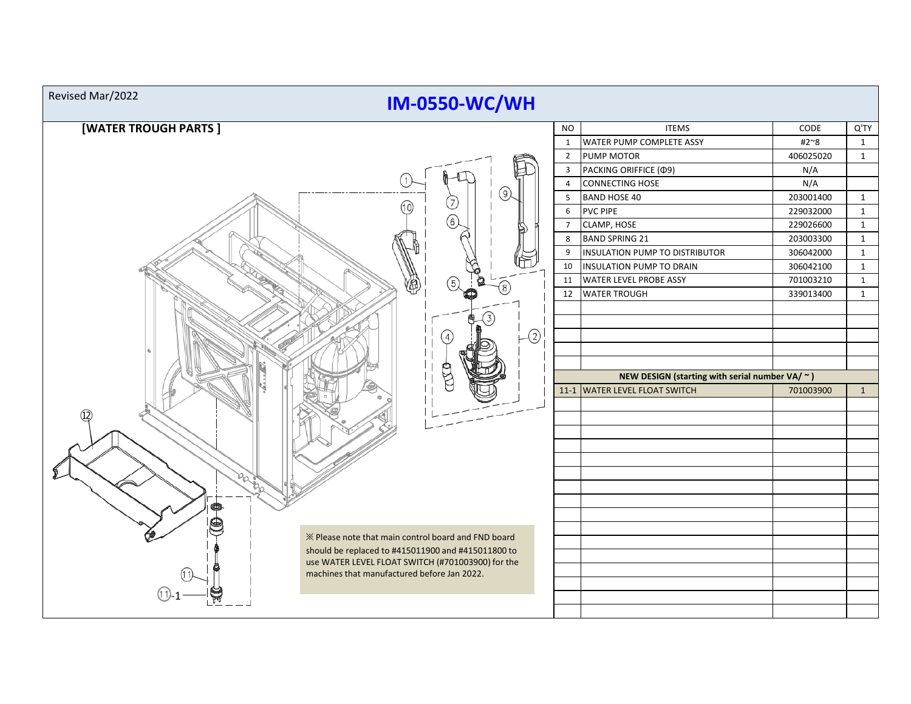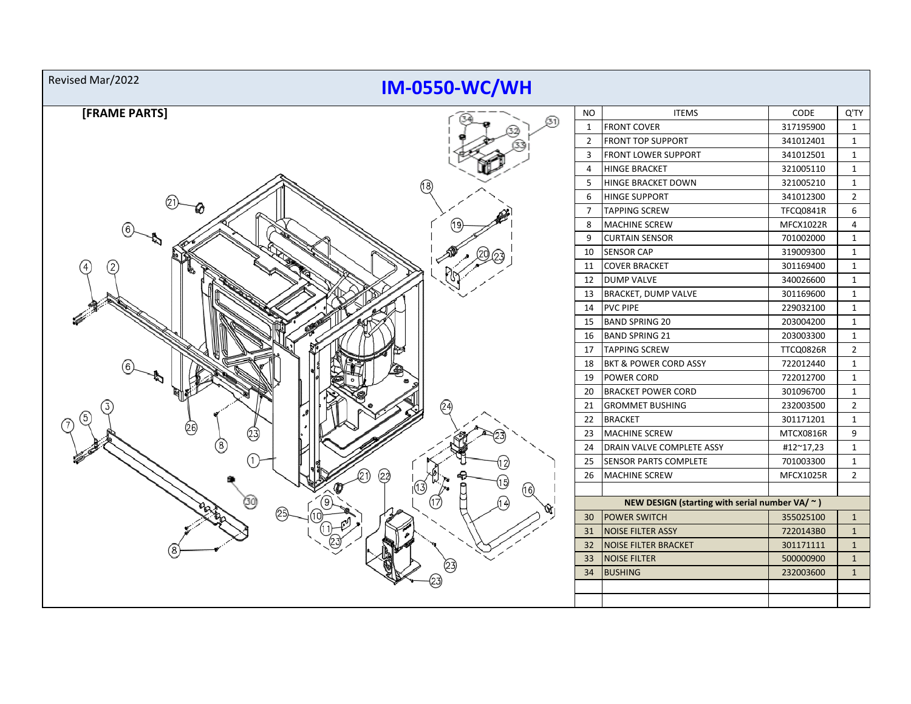